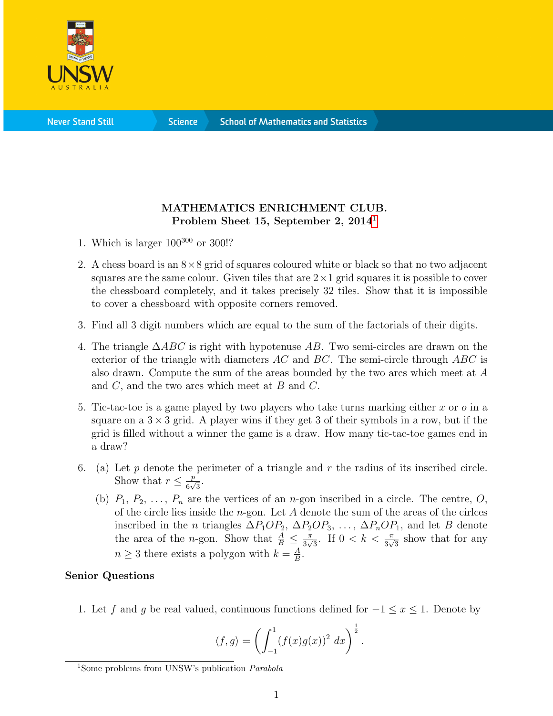

**Science** 

## MATHEMATICS ENRICHMENT CLUB. Problem Sheet [1](#page-0-0)5, September 2, 2014<sup>1</sup>

- 1. Which is larger  $100^{300}$  or 300!?
- 2. A chess board is an  $8\times 8$  grid of squares coloured white or black so that no two adjacent squares are the same colour. Given tiles that are  $2 \times 1$  grid squares it is possible to cover the chessboard completely, and it takes precisely 32 tiles. Show that it is impossible to cover a chessboard with opposite corners removed.
- 3. Find all 3 digit numbers which are equal to the sum of the factorials of their digits.
- 4. The triangle  $\triangle ABC$  is right with hypotenuse AB. Two semi-circles are drawn on the exterior of the triangle with diameters  $AC$  and  $BC$ . The semi-circle through  $ABC$  is also drawn. Compute the sum of the areas bounded by the two arcs which meet at A and  $C$ , and the two arcs which meet at  $B$  and  $C$ .
- 5. Tic-tac-toe is a game played by two players who take turns marking either x or  $\sigma$  in a square on a  $3 \times 3$  grid. A player wins if they get 3 of their symbols in a row, but if the grid is filled without a winner the game is a draw. How many tic-tac-toe games end in a draw?
- 6. (a) Let p denote the perimeter of a triangle and r the radius of its inscribed circle. Show that  $r \leq \frac{p}{\epsilon}$  $rac{p}{6\sqrt{3}}$ .
	- (b)  $P_1, P_2, \ldots, P_n$  are the vertices of an *n*-gon inscribed in a circle. The centre, O, of the circle lies inside the  $n$ -gon. Let A denote the sum of the areas of the circles inscribed in the *n* triangles  $\Delta P_1OP_2$ ,  $\Delta P_2OP_3$ , ...,  $\Delta P_nOP_1$ , and let B denote the area of the *n*-gon. Show that  $\frac{A}{B} \leq \frac{\pi}{3\sqrt{3}}$  $\frac{\pi}{3\sqrt{3}}$ . If  $0 < k < \frac{\pi}{3\sqrt{3}}$  show that for any  $n \geq 3$  there exists a polygon with  $k = \frac{A}{B}$  $\frac{A}{B}$ .

## Senior Questions

1. Let f and g be real valued, continuous functions defined for  $-1 \le x \le 1$ . Denote by

$$
\langle f,g \rangle = \left( \int_{-1}^{1} (f(x)g(x))^2 dx \right)^{\frac{1}{2}}.
$$

<span id="page-0-0"></span><sup>&</sup>lt;sup>1</sup>Some problems from UNSW's publication *Parabola*